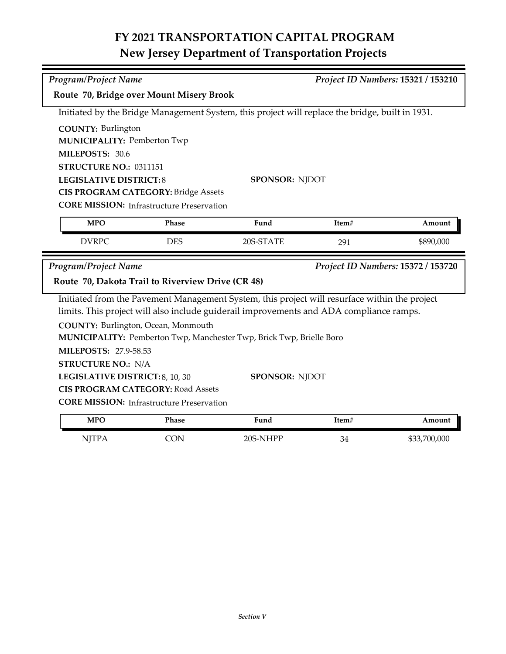# **FY 2021 TRANSPORTATION CAPITAL PROGRAM New Jersey Department of Transportation Projects**

| Program/Project Name                                   |            |                                                                                                 |       | Project ID Numbers: 15321 / 153210 |
|--------------------------------------------------------|------------|-------------------------------------------------------------------------------------------------|-------|------------------------------------|
| Route 70, Bridge over Mount Misery Brook               |            |                                                                                                 |       |                                    |
|                                                        |            | Initiated by the Bridge Management System, this project will replace the bridge, built in 1931. |       |                                    |
| <b>COUNTY: Burlington</b>                              |            |                                                                                                 |       |                                    |
| <b>MUNICIPALITY: Pemberton Twp</b>                     |            |                                                                                                 |       |                                    |
| MILEPOSTS: 30.6                                        |            |                                                                                                 |       |                                    |
| STRUCTURE NO.: 0311151                                 |            |                                                                                                 |       |                                    |
| <b>LEGISLATIVE DISTRICT:8</b><br><b>SPONSOR: NJDOT</b> |            |                                                                                                 |       |                                    |
| <b>CIS PROGRAM CATEGORY: Bridge Assets</b>             |            |                                                                                                 |       |                                    |
| <b>CORE MISSION: Infrastructure Preservation</b>       |            |                                                                                                 |       |                                    |
|                                                        |            |                                                                                                 |       |                                    |
| <b>MPO</b>                                             | Phase      | Fund                                                                                            | Item# | Amount                             |
| <b>DVRPC</b>                                           | <b>DES</b> | 20S-STATE                                                                                       | 291   | \$890,000                          |
| Program/Project Name                                   |            |                                                                                                 |       | Project ID Numbers: 15372 / 153720 |
| Route 70, Dakota Trail to Riverview Drive (CR 48)      |            |                                                                                                 |       |                                    |
|                                                        |            | Initiated from the Pavement Management System, this project will resurface within the project   |       |                                    |
|                                                        |            | limits. This project will also include guiderail improvements and ADA compliance ramps.         |       |                                    |
| COUNTY: Burlington, Ocean, Monmouth                    |            |                                                                                                 |       |                                    |
|                                                        |            | MUNICIPALITY: Pemberton Twp, Manchester Twp, Brick Twp, Brielle Boro                            |       |                                    |
| <b>MILEPOSTS: 27.9-58.53</b>                           |            |                                                                                                 |       |                                    |
| <b>STRUCTURE NO.: N/A</b>                              |            |                                                                                                 |       |                                    |
| LEGISLATIVE DISTRICT: 8, 10, 30                        |            | <b>SPONSOR: NJDOT</b>                                                                           |       |                                    |
| <b>CIS PROGRAM CATEGORY: Road Assets</b>               |            |                                                                                                 |       |                                    |

| <b>MPO</b>      | <sup>p</sup> hase | Fund     | Item# | Amount       |
|-----------------|-------------------|----------|-------|--------------|
| NITTD /<br>1111 | эN                | 20S-NHPP | 34    | \$33,700,000 |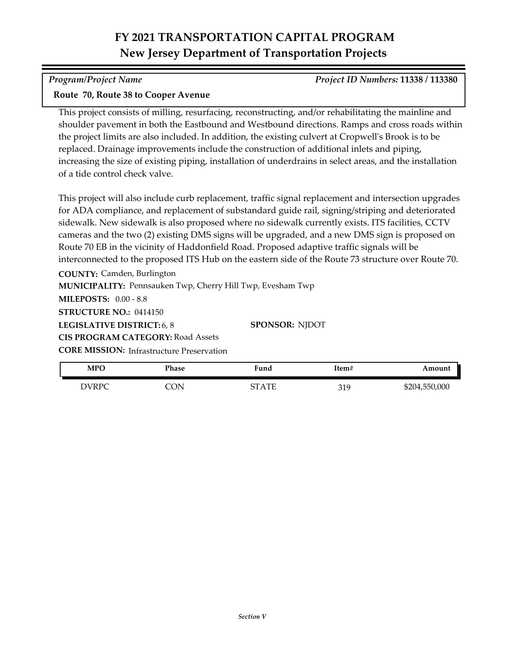# **FY 2021 TRANSPORTATION CAPITAL PROGRAM New Jersey Department of Transportation Projects**

### *Program/Project Name Project ID Numbers:* **11338 / 113380**

### **Route 70, Route 38 to Cooper Avenue**

This project consists of milling, resurfacing, reconstructing, and/or rehabilitating the mainline and shoulder pavement in both the Eastbound and Westbound directions. Ramps and cross roads within the project limits are also included. In addition, the existing culvert at Cropwell's Brook is to be replaced. Drainage improvements include the construction of additional inlets and piping, increasing the size of existing piping, installation of underdrains in select areas, and the installation of a tide control check valve.

This project will also include curb replacement, traffic signal replacement and intersection upgrades for ADA compliance, and replacement of substandard guide rail, signing/striping and deteriorated sidewalk. New sidewalk is also proposed where no sidewalk currently exists. ITS facilities, CCTV cameras and the two (2) existing DMS signs will be upgraded, and a new DMS sign is proposed on Route 70 EB in the vicinity of Haddonfield Road. Proposed adaptive traffic signals will be interconnected to the proposed ITS Hub on the eastern side of the Route 73 structure over Route 70.

**COUNTY:** Camden, Burlington

**MUNICIPALITY: Pennsauken Twp, Cherry Hill Twp, Evesham Twp** 

**MILEPOSTS:** 0.00 - 8.8

**STRUCTURE NO.:** 0414150

**LEGISLATIVE DISTRICT:** 6, 8

**CIS PROGRAM CATEGORY:** Road Assets

**CORE MISSION:** Infrastructure Preservation

| <b>MPC</b> | Phase | Fund  | Item# | Amount        |
|------------|-------|-------|-------|---------------|
| DVRPC      | ON    | STATE | 319   | \$204,550,000 |

**SPONSOR:** NJDOT